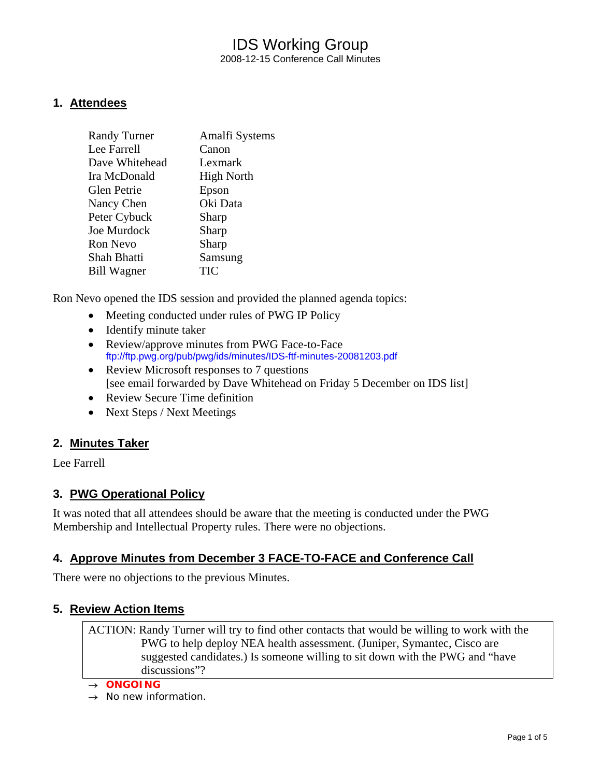## IDS Working Group 2008-12-15 Conference Call Minutes

### **1. Attendees**

| <b>Randy Turner</b> | Amalfi Systems    |
|---------------------|-------------------|
| Lee Farrell         | Canon             |
| Dave Whitehead      | Lexmark           |
| Ira McDonald        | <b>High North</b> |
| Glen Petrie         | Epson             |
| Nancy Chen          | Oki Data          |
| Peter Cybuck        | Sharp             |
| <b>Joe Murdock</b>  | Sharp             |
| <b>Ron Nevo</b>     | Sharp             |
| Shah Bhatti         | Samsung           |
| <b>Bill Wagner</b>  | TIC               |
|                     |                   |

Ron Nevo opened the IDS session and provided the planned agenda topics:

- Meeting conducted under rules of PWG IP Policy
- Identify minute taker
- Review/approve minutes from PWG Face-to-Face ftp://ftp.pwg.org/pub/pwg/ids/minutes/IDS-ftf-minutes-20081203.pdf
- Review Microsoft responses to 7 questions [see email forwarded by Dave Whitehead on Friday 5 December on IDS list]
- Review Secure Time definition
- Next Steps / Next Meetings

### **2. Minutes Taker**

Lee Farrell

### **3. PWG Operational Policy**

It was noted that all attendees should be aware that the meeting is conducted under the PWG Membership and Intellectual Property rules. There were no objections.

### **4. Approve Minutes from December 3 FACE-TO-FACE and Conference Call**

There were no objections to the previous Minutes.

### **5. Review Action Items**

ACTION: Randy Turner will try to find other contacts that would be willing to work with the PWG to help deploy NEA health assessment. (Juniper, Symantec, Cisco are suggested candidates.) Is someone willing to sit down with the PWG and "have discussions"?

→ *ONGOING* 

→ *No new information.*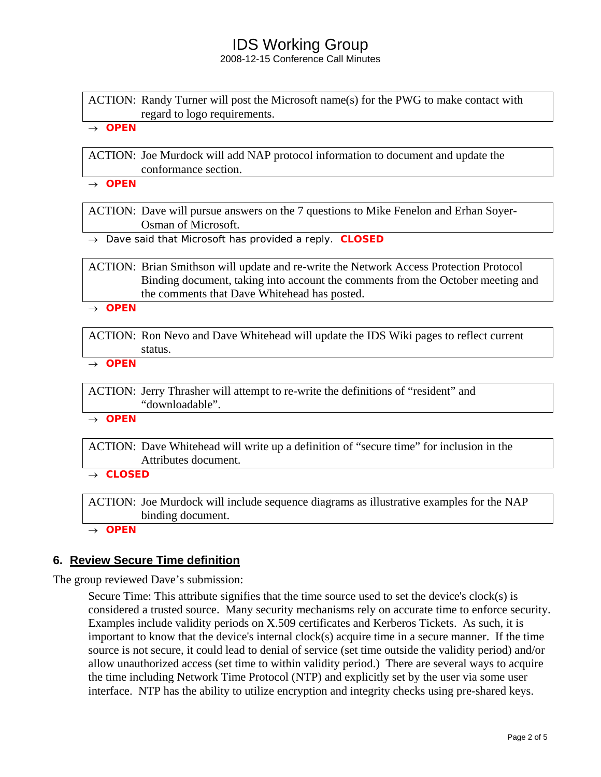2008-12-15 Conference Call Minutes

ACTION: Randy Turner will post the Microsoft name(s) for the PWG to make contact with regard to logo requirements.

→ *OPEN* 

ACTION: Joe Murdock will add NAP protocol information to document and update the conformance section.

→ *OPEN* 

ACTION: Dave will pursue answers on the 7 questions to Mike Fenelon and Erhan Soyer-Osman of Microsoft.

→ *Dave said that Microsoft has provided a reply. CLOSED*

ACTION: Brian Smithson will update and re-write the Network Access Protection Protocol Binding document, taking into account the comments from the October meeting and the comments that Dave Whitehead has posted.

→ *OPEN* 

ACTION: Ron Nevo and Dave Whitehead will update the IDS Wiki pages to reflect current status.

→ *OPEN* 

ACTION: Jerry Thrasher will attempt to re-write the definitions of "resident" and "downloadable".

→ *OPEN* 

ACTION: Dave Whitehead will write up a definition of "secure time" for inclusion in the Attributes document.

→ *CLOSED* 

ACTION: Joe Murdock will include sequence diagrams as illustrative examples for the NAP binding document.

→ *OPEN* 

### **6. Review Secure Time definition**

The group reviewed Dave's submission:

Secure Time: This attribute signifies that the time source used to set the device's clock(s) is considered a trusted source. Many security mechanisms rely on accurate time to enforce security. Examples include validity periods on X.509 certificates and Kerberos Tickets. As such, it is important to know that the device's internal clock(s) acquire time in a secure manner. If the time source is not secure, it could lead to denial of service (set time outside the validity period) and/or allow unauthorized access (set time to within validity period.) There are several ways to acquire the time including Network Time Protocol (NTP) and explicitly set by the user via some user interface. NTP has the ability to utilize encryption and integrity checks using pre-shared keys.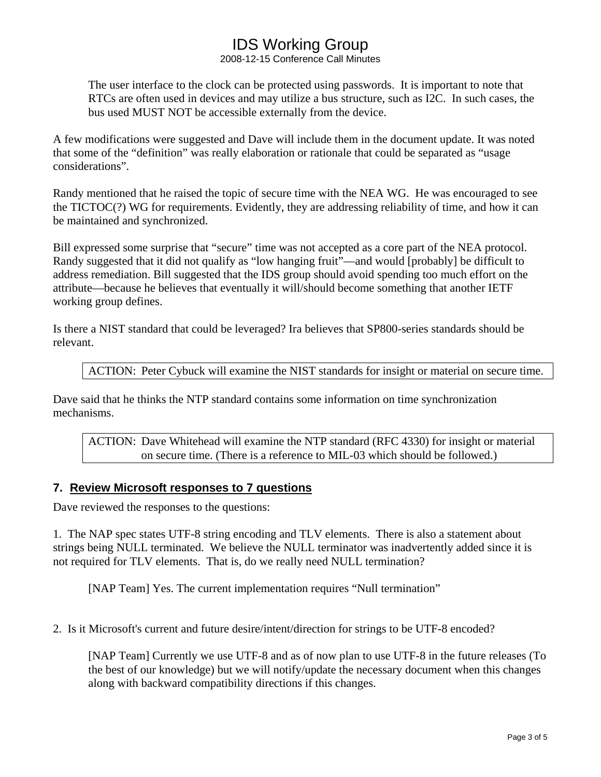2008-12-15 Conference Call Minutes

The user interface to the clock can be protected using passwords. It is important to note that RTCs are often used in devices and may utilize a bus structure, such as I2C. In such cases, the bus used MUST NOT be accessible externally from the device.

A few modifications were suggested and Dave will include them in the document update. It was noted that some of the "definition" was really elaboration or rationale that could be separated as "usage considerations".

Randy mentioned that he raised the topic of secure time with the NEA WG. He was encouraged to see the TICTOC(?) WG for requirements. Evidently, they are addressing reliability of time, and how it can be maintained and synchronized.

Bill expressed some surprise that "secure" time was not accepted as a core part of the NEA protocol. Randy suggested that it did not qualify as "low hanging fruit"—and would [probably] be difficult to address remediation. Bill suggested that the IDS group should avoid spending too much effort on the attribute—because he believes that eventually it will/should become something that another IETF working group defines.

Is there a NIST standard that could be leveraged? Ira believes that SP800-series standards should be relevant.

ACTION: Peter Cybuck will examine the NIST standards for insight or material on secure time.

Dave said that he thinks the NTP standard contains some information on time synchronization mechanisms.

ACTION: Dave Whitehead will examine the NTP standard (RFC 4330) for insight or material on secure time. (There is a reference to MIL-03 which should be followed.)

### **7. Review Microsoft responses to 7 questions**

Dave reviewed the responses to the questions:

1. The NAP spec states UTF-8 string encoding and TLV elements. There is also a statement about strings being NULL terminated. We believe the NULL terminator was inadvertently added since it is not required for TLV elements. That is, do we really need NULL termination?

[NAP Team] Yes. The current implementation requires "Null termination"

2. Is it Microsoft's current and future desire/intent/direction for strings to be UTF-8 encoded?

[NAP Team] Currently we use UTF-8 and as of now plan to use UTF-8 in the future releases (To the best of our knowledge) but we will notify/update the necessary document when this changes along with backward compatibility directions if this changes.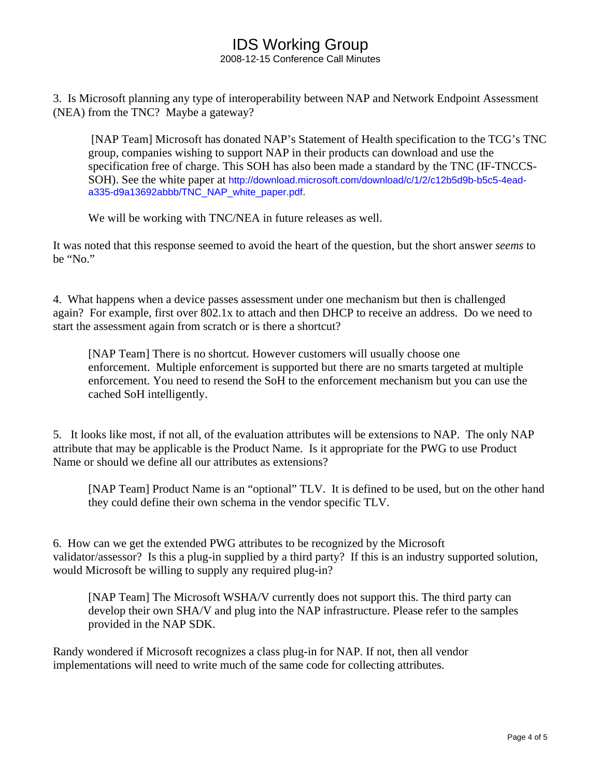2008-12-15 Conference Call Minutes

3. Is Microsoft planning any type of interoperability between NAP and Network Endpoint Assessment (NEA) from the TNC? Maybe a gateway?

 [NAP Team] Microsoft has donated NAP's Statement of Health specification to the TCG's TNC group, companies wishing to support NAP in their products can download and use the specification free of charge. This SOH has also been made a standard by the TNC (IF-TNCCS-SOH). See the white paper at http://download.microsoft.com/download/c/1/2/c12b5d9b-b5c5-4eada335-d9a13692abbb/TNC\_NAP\_white\_paper.pdf.

We will be working with TNC/NEA in future releases as well.

It was noted that this response seemed to avoid the heart of the question, but the short answer *seems* to be "No."

4. What happens when a device passes assessment under one mechanism but then is challenged again? For example, first over 802.1x to attach and then DHCP to receive an address. Do we need to start the assessment again from scratch or is there a shortcut?

[NAP Team] There is no shortcut. However customers will usually choose one enforcement. Multiple enforcement is supported but there are no smarts targeted at multiple enforcement. You need to resend the SoH to the enforcement mechanism but you can use the cached SoH intelligently.

5. It looks like most, if not all, of the evaluation attributes will be extensions to NAP. The only NAP attribute that may be applicable is the Product Name. Is it appropriate for the PWG to use Product Name or should we define all our attributes as extensions?

[NAP Team] Product Name is an "optional" TLV. It is defined to be used, but on the other hand they could define their own schema in the vendor specific TLV.

6. How can we get the extended PWG attributes to be recognized by the Microsoft validator/assessor? Is this a plug-in supplied by a third party? If this is an industry supported solution, would Microsoft be willing to supply any required plug-in?

[NAP Team] The Microsoft WSHA/V currently does not support this. The third party can develop their own SHA/V and plug into the NAP infrastructure. Please refer to the samples provided in the NAP SDK.

Randy wondered if Microsoft recognizes a class plug-in for NAP. If not, then all vendor implementations will need to write much of the same code for collecting attributes.